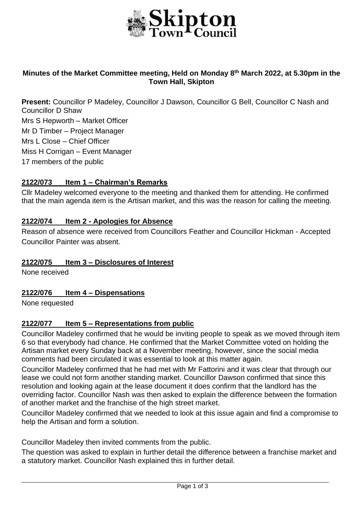

### **Minutes of the Market Committee meeting, Held on Monday 8th March 2022, at 5.30pm in the Town Hall, Skipton**

**Present:** Councillor P Madeley, Councillor J Dawson, Councillor G Bell, Councillor C Nash and Councillor D Shaw Mrs S Hepworth – Market Officer Mr D Timber – Project Manager Mrs L Close – Chief Officer Miss H Corrigan – Event Manager 17 members of the public

### **2122/073 Item 1 – Chairman's Remarks**

Cllr Madeley welcomed everyone to the meeting and thanked them for attending. He confirmed that the main agenda item is the Artisan market, and this was the reason for calling the meeting.

### **2122/074 Item 2 - Apologies for Absence**

Reason of absence were received from Councillors Feather and Councillor Hickman - Accepted Councillor Painter was absent.

### **2122/075 Item 3 – Disclosures of Interest**

None received

### **2122/076 Item 4 – Dispensations**

None requested

### **2122/077 Item 5 – Representations from public**

Councillor Madeley confirmed that he would be inviting people to speak as we moved through item 6 so that everybody had chance. He confirmed that the Market Committee voted on holding the Artisan market every Sunday back at a November meeting, however, since the social media comments had been circulated it was essential to look at this matter again.

Councillor Madeley confirmed that he had met with Mr Fattorini and it was clear that through our lease we could not form another standing market. Councillor Dawson confirmed that since this resolution and looking again at the lease document it does confirm that the landlord has the overriding factor. Councillor Nash was then asked to explain the difference between the formation of another market and the franchise of the high street market.

Councillor Madeley confirmed that we needed to look at this issue again and find a compromise to help the Artisan and form a solution.

Councillor Madeley then invited comments from the public.

The question was asked to explain in further detail the difference between a franchise market and a statutory market. Councillor Nash explained this in further detail.

j.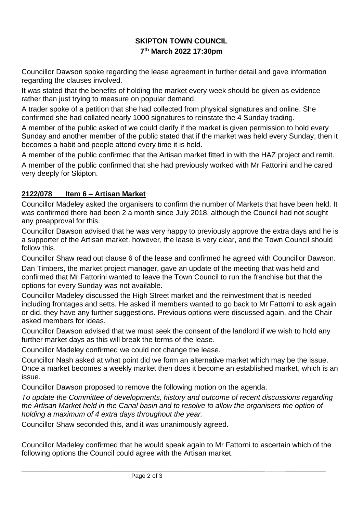# **SKIPTON TOWN COUNCIL 7 th March 2022 17:30pm**

Councillor Dawson spoke regarding the lease agreement in further detail and gave information regarding the clauses involved.

It was stated that the benefits of holding the market every week should be given as evidence rather than just trying to measure on popular demand.

A trader spoke of a petition that she had collected from physical signatures and online. She confirmed she had collated nearly 1000 signatures to reinstate the 4 Sunday trading.

A member of the public asked of we could clarify if the market is given permission to hold every Sunday and another member of the public stated that if the market was held every Sunday, then it becomes a habit and people attend every time it is held.

A member of the public confirmed that the Artisan market fitted in with the HAZ project and remit. A member of the public confirmed that she had previously worked with Mr Fattorini and he cared very deeply for Skipton.

## **2122/078 Item 6 – Artisan Market**

Councillor Madeley asked the organisers to confirm the number of Markets that have been held. It was confirmed there had been 2 a month since July 2018, although the Council had not sought any preapproval for this.

Councillor Dawson advised that he was very happy to previously approve the extra days and he is a supporter of the Artisan market, however, the lease is very clear, and the Town Council should follow this.

Councillor Shaw read out clause 6 of the lease and confirmed he agreed with Councillor Dawson.

Dan Timbers, the market project manager, gave an update of the meeting that was held and confirmed that Mr Fattorini wanted to leave the Town Council to run the franchise but that the options for every Sunday was not available.

Councillor Madeley discussed the High Street market and the reinvestment that is needed including frontages and setts. He asked if members wanted to go back to Mr Fattorni to ask again or did, they have any further suggestions. Previous options were discussed again, and the Chair asked members for ideas.

Councillor Dawson advised that we must seek the consent of the landlord if we wish to hold any further market days as this will break the terms of the lease.

Councillor Madeley confirmed we could not change the lease.

Councillor Nash asked at what point did we form an alternative market which may be the issue. Once a market becomes a weekly market then does it become an established market, which is an issue.

Councillor Dawson proposed to remove the following motion on the agenda.

*To update the Committee of developments, history and outcome of recent discussions regarding the Artisan Market held in the Canal basin and to resolve to allow the organisers the option of holding a maximum of 4 extra days throughout the year.* 

Councillor Shaw seconded this, and it was unanimously agreed.

Councillor Madeley confirmed that he would speak again to Mr Fattorni to ascertain which of the following options the Council could agree with the Artisan market.

\_\_\_\_\_\_\_\_\_\_\_\_\_\_\_\_\_\_\_\_\_\_\_\_\_\_\_\_\_\_\_\_\_\_\_\_\_\_\_\_\_\_\_\_\_\_\_\_\_\_\_\_\_\_\_\_\_\_\_\_ \_\_\_\_\_\_\_\_\_\_